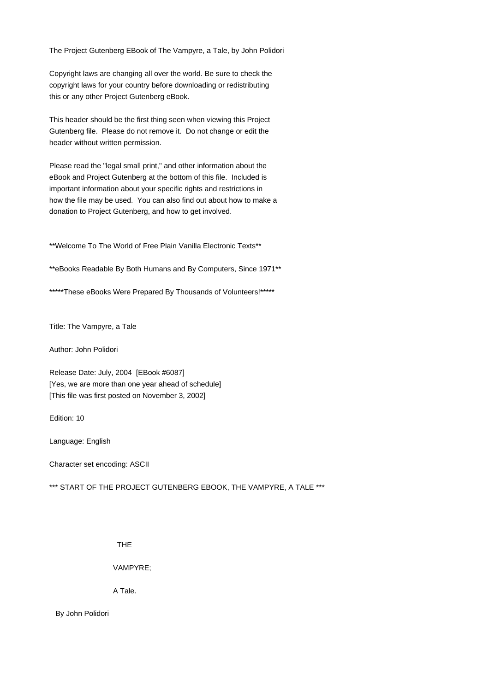The Project Gutenberg EBook of The Vampyre, a Tale, by John Polidori

Copyright laws are changing all over the world. Be sure to check the copyright laws for your country before downloading or redistributing this or any other Project Gutenberg eBook.

This header should be the first thing seen when viewing this Project Gutenberg file. Please do not remove it. Do not change or edit the header without written permission.

Please read the "legal small print," and other information about the eBook and Project Gutenberg at the bottom of this file. Included is important information about your specific rights and restrictions in how the file may be used. You can also find out about how to make a donation to Project Gutenberg, and how to get involved.

\*\*Welcome To The World of Free Plain Vanilla Electronic Texts\*\*

\*\*eBooks Readable By Both Humans and By Computers, Since 1971\*\*

\*\*\*\*\*These eBooks Were Prepared By Thousands of Volunteers!\*\*\*\*\*

Title: The Vampyre, a Tale

Author: John Polidori

Release Date: July, 2004 [EBook #6087] [Yes, we are more than one year ahead of schedule] [This file was first posted on November 3, 2002]

Edition: 10

Language: English

Character set encoding: ASCII

\*\*\* START OF THE PROJECT GUTENBERG EBOOK, THE VAMPYRE, A TALE \*\*\*

THE

VAMPYRE;

A Tale.

 By John Polidori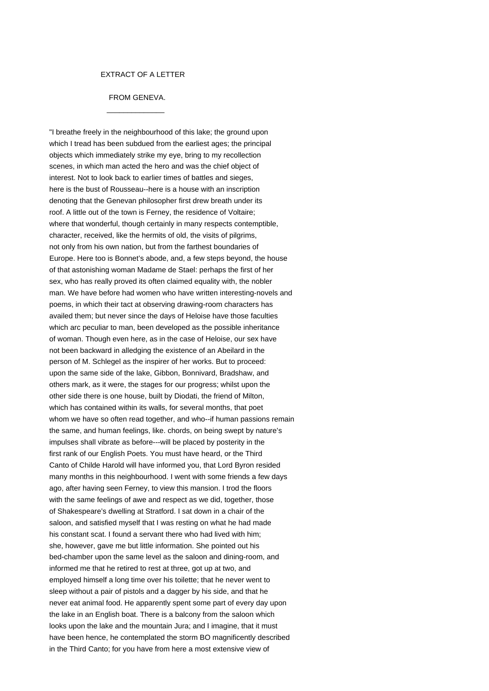### EXTRACT OF A LETTER

# FROM GENEVA.

 $\frac{1}{2}$  ,  $\frac{1}{2}$  ,  $\frac{1}{2}$  ,  $\frac{1}{2}$  ,  $\frac{1}{2}$  ,  $\frac{1}{2}$  ,  $\frac{1}{2}$  ,  $\frac{1}{2}$  ,  $\frac{1}{2}$  ,  $\frac{1}{2}$  ,  $\frac{1}{2}$  ,  $\frac{1}{2}$  ,  $\frac{1}{2}$  ,  $\frac{1}{2}$  ,  $\frac{1}{2}$  ,  $\frac{1}{2}$  ,  $\frac{1}{2}$  ,  $\frac{1}{2}$  ,  $\frac{1$ 

"I breathe freely in the neighbourhood of this lake; the ground upon which I tread has been subdued from the earliest ages; the principal objects which immediately strike my eye, bring to my recollection scenes, in which man acted the hero and was the chief object of interest. Not to look back to earlier times of battles and sieges, here is the bust of Rousseau--here is a house with an inscription denoting that the Genevan philosopher first drew breath under its roof. A little out of the town is Ferney, the residence of Voltaire; where that wonderful, though certainly in many respects contemptible, character, received, like the hermits of old, the visits of pilgrims, not only from his own nation, but from the farthest boundaries of Europe. Here too is Bonnet's abode, and, a few steps beyond, the house of that astonishing woman Madame de Stael: perhaps the first of her sex, who has really proved its often claimed equality with, the nobler man. We have before had women who have written interesting-novels and poems, in which their tact at observing drawing-room characters has availed them; but never since the days of Heloise have those faculties which arc peculiar to man, been developed as the possible inheritance of woman. Though even here, as in the case of Heloise, our sex have not been backward in alledging the existence of an Abeilard in the person of M. Schlegel as the inspirer of her works. But to proceed: upon the same side of the lake, Gibbon, Bonnivard, Bradshaw, and others mark, as it were, the stages for our progress; whilst upon the other side there is one house, built by Diodati, the friend of Milton, which has contained within its walls, for several months, that poet whom we have so often read together, and who--if human passions remain the same, and human feelings, like. chords, on being swept by nature's impulses shall vibrate as before---will be placed by posterity in the first rank of our English Poets. You must have heard, or the Third Canto of Childe Harold will have informed you, that Lord Byron resided many months in this neighbourhood. I went with some friends a few days ago, after having seen Ferney, to view this mansion. I trod the floors with the same feelings of awe and respect as we did, together, those of Shakespeare's dwelling at Stratford. I sat down in a chair of the saloon, and satisfied myself that I was resting on what he had made his constant scat. I found a servant there who had lived with him; she, however, gave me but little information. She pointed out his bed-chamber upon the same level as the saloon and dining-room, and informed me that he retired to rest at three, got up at two, and employed himself a long time over his toilette; that he never went to sleep without a pair of pistols and a dagger by his side, and that he never eat animal food. He apparently spent some part of every day upon the lake in an English boat. There is a balcony from the saloon which looks upon the lake and the mountain Jura; and I imagine, that it must have been hence, he contemplated the storm BO magnificently described in the Third Canto; for you have from here a most extensive view of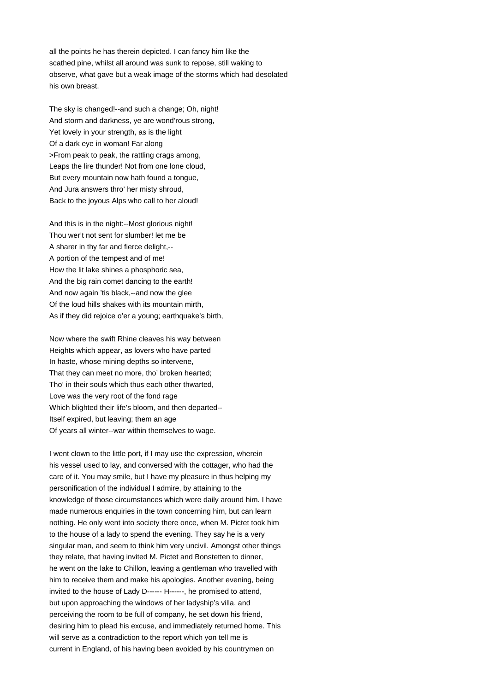all the points he has therein depicted. I can fancy him like the scathed pine, whilst all around was sunk to repose, still waking to observe, what gave but a weak image of the storms which had desolated his own breast.

The sky is changed!--and such a change; Oh, night! And storm and darkness, ye are wond'rous strong, Yet lovely in your strength, as is the light Of a dark eye in woman! Far along >From peak to peak, the rattling crags among, Leaps the lire thunder! Not from one lone cloud, But every mountain now hath found a tongue, And Jura answers thro' her misty shroud, Back to the joyous Alps who call to her aloud!

And this is in the night:--Most glorious night! Thou wer't not sent for slumber! let me be A sharer in thy far and fierce delight,-- A portion of the tempest and of me! How the lit lake shines a phosphoric sea, And the big rain comet dancing to the earth! And now again 'tis black,--and now the glee Of the loud hills shakes with its mountain mirth, As if they did rejoice o'er a young; earthquake's birth,

Now where the swift Rhine cleaves his way between Heights which appear, as lovers who have parted In haste, whose mining depths so intervene, That they can meet no more, tho' broken hearted; Tho' in their souls which thus each other thwarted, Love was the very root of the fond rage Which blighted their life's bloom, and then departed-- Itself expired, but leaving; them an age Of years all winter--war within themselves to wage.

I went clown to the little port, if I may use the expression, wherein his vessel used to lay, and conversed with the cottager, who had the care of it. You may smile, but I have my pleasure in thus helping my personification of the individual I admire, by attaining to the knowledge of those circumstances which were daily around him. I have made numerous enquiries in the town concerning him, but can learn nothing. He only went into society there once, when M. Pictet took him to the house of a lady to spend the evening. They say he is a very singular man, and seem to think him very uncivil. Amongst other things they relate, that having invited M. Pictet and Bonstetten to dinner, he went on the lake to Chillon, leaving a gentleman who travelled with him to receive them and make his apologies. Another evening, being invited to the house of Lady D------ H------, he promised to attend, but upon approaching the windows of her ladyship's villa, and perceiving the room to be full of company, he set down his friend, desiring him to plead his excuse, and immediately returned home. This will serve as a contradiction to the report which yon tell me is current in England, of his having been avoided by his countrymen on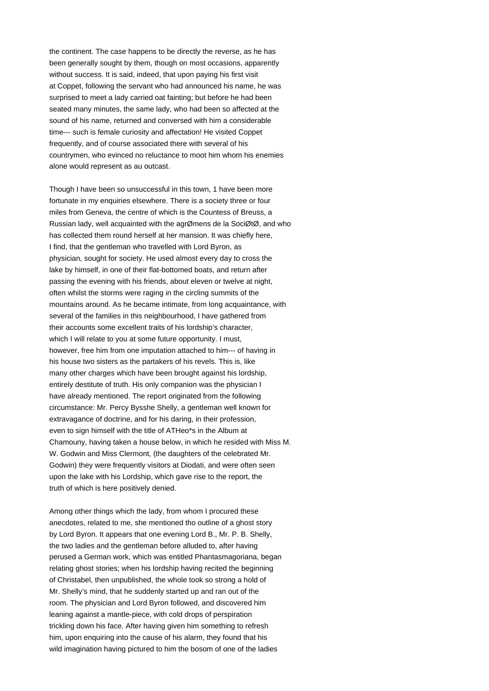the continent. The case happens to be directly the reverse, as he has been generally sought by them, though on most occasions, apparently without success. It is said, indeed, that upon paying his first visit at Coppet, following the servant who had announced his name, he was surprised to meet a lady carried oat fainting; but before he had been seated many minutes, the same lady, who had been so affected at the sound of his name, returned and conversed with him a considerable time--- such is female curiosity and affectation! He visited Coppet frequently, and of course associated there with several of his countrymen, who evinced no reluctance to moot him whom his enemies alone would represent as au outcast.

Though I have been so unsuccessful in this town, 1 have been more fortunate in my enquiries elsewhere. There is a society three or four miles from Geneva, the centre of which is the Countess of Breuss, a Russian lady, well acquainted with the agrØmens de la SociØtØ, and who has collected them round herself at her mansion. It was chiefly here, I find, that the gentleman who travelled with Lord Byron, as physician, sought for society. He used almost every day to cross the lake by himself, in one of their flat-bottomed boats, and return after passing the evening with his friends, about eleven or twelve at night, often whilst the storms were raging in the circling summits of the mountains around. As he became intimate, from long acquaintance, with several of the families in this neighbourhood, I have gathered from their accounts some excellent traits of his lordship's character, which I will relate to you at some future opportunity. I must, however, free him from one imputation attached to him--- of having in his house two sisters as the partakers of his revels. This is, like many other charges which have been brought against his lordship, entirely destitute of truth. His only companion was the physician I have already mentioned. The report originated from the following circumstance: Mr. Percy Bysshe Shelly, a gentleman well known for extravagance of doctrine, and for his daring, in their profession, even to sign himself with the title of ATHeo\*s in the Album at Chamouny, having taken a house below, in which he resided with Miss M. W. Godwin and Miss Clermont, (the daughters of the celebrated Mr. Godwin) they were frequently visitors at Diodati, and were often seen upon the lake with his Lordship, which gave rise to the report, the truth of which is here positively denied.

Among other things which the lady, from whom I procured these anecdotes, related to me, she mentioned tho outline of a ghost story by Lord Byron. It appears that one evening Lord B., Mr. P. B. Shelly, the two ladies and the gentleman before alluded to, after having perused a German work, which was entitled Phantasmagoriana, began relating ghost stories; when his lordship having recited the beginning of Christabel, then unpublished, the whole took so strong a hold of Mr. Shelly's mind, that he suddenly started up and ran out of the room. The physician and Lord Byron followed, and discovered him leaning against a mantle-piece, with cold drops of perspiration trickling down his face. After having given him something to refresh him, upon enquiring into the cause of his alarm, they found that his wild imagination having pictured to him the bosom of one of the ladies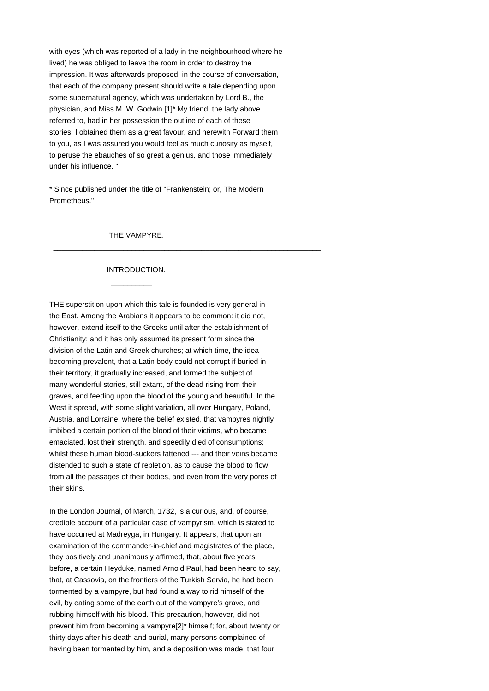with eyes (which was reported of a lady in the neighbourhood where he lived) he was obliged to leave the room in order to destroy the impression. It was afterwards proposed, in the course of conversation, that each of the company present should write a tale depending upon some supernatural agency, which was undertaken by Lord B., the physician, and Miss M. W. Godwin.[1]\* My friend, the lady above referred to, had in her possession the outline of each of these stories; I obtained them as a great favour, and herewith Forward them to you, as I was assured you would feel as much curiosity as myself, to peruse the ebauches of so great a genius, and those immediately under his influence. "

\* Since published under the title of "Frankenstein; or, The Modern Prometheus."

\_\_\_\_\_\_\_\_\_\_\_\_\_\_\_\_\_\_\_\_\_\_\_\_\_\_\_\_\_\_\_\_\_\_\_\_\_\_\_\_\_\_\_\_\_\_\_\_\_\_\_\_\_\_\_\_\_\_\_\_\_\_\_\_\_

#### THE VAMPYRE.

### INTRODUCTION.

 $\frac{1}{2}$  ,  $\frac{1}{2}$  ,  $\frac{1}{2}$  ,  $\frac{1}{2}$  ,  $\frac{1}{2}$  ,  $\frac{1}{2}$  ,  $\frac{1}{2}$  ,  $\frac{1}{2}$  ,  $\frac{1}{2}$  ,  $\frac{1}{2}$  ,  $\frac{1}{2}$  ,  $\frac{1}{2}$  ,  $\frac{1}{2}$  ,  $\frac{1}{2}$  ,  $\frac{1}{2}$  ,  $\frac{1}{2}$  ,  $\frac{1}{2}$  ,  $\frac{1}{2}$  ,  $\frac{1$ 

THE superstition upon which this tale is founded is very general in the East. Among the Arabians it appears to be common: it did not, however, extend itself to the Greeks until after the establishment of Christianity; and it has only assumed its present form since the division of the Latin and Greek churches; at which time, the idea becoming prevalent, that a Latin body could not corrupt if buried in their territory, it gradually increased, and formed the subject of many wonderful stories, still extant, of the dead rising from their graves, and feeding upon the blood of the young and beautiful. In the West it spread, with some slight variation, all over Hungary, Poland, Austria, and Lorraine, where the belief existed, that vampyres nightly imbibed a certain portion of the blood of their victims, who became emaciated, lost their strength, and speedily died of consumptions; whilst these human blood-suckers fattened --- and their veins became distended to such a state of repletion, as to cause the blood to flow from all the passages of their bodies, and even from the very pores of their skins.

In the London Journal, of March, 1732, is a curious, and, of course, credible account of a particular case of vampyrism, which is stated to have occurred at Madreyga, in Hungary. It appears, that upon an examination of the commander-in-chief and magistrates of the place, they positively and unanimously affirmed, that, about five years before, a certain Heyduke, named Arnold Paul, had been heard to say, that, at Cassovia, on the frontiers of the Turkish Servia, he had been tormented by a vampyre, but had found a way to rid himself of the evil, by eating some of the earth out of the vampyre's grave, and rubbing himself with his blood. This precaution, however, did not prevent him from becoming a vampyre[2]\* himself; for, about twenty or thirty days after his death and burial, many persons complained of having been tormented by him, and a deposition was made, that four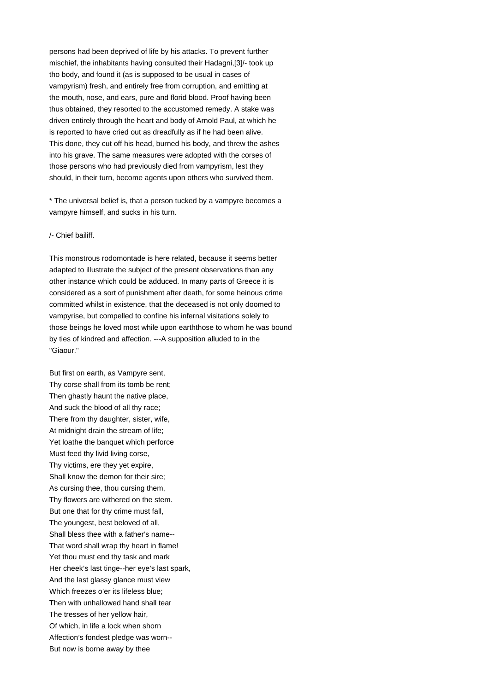persons had been deprived of life by his attacks. To prevent further mischief, the inhabitants having consulted their Hadagni,[3]/- took up tho body, and found it (as is supposed to be usual in cases of vampyrism) fresh, and entirely free from corruption, and emitting at the mouth, nose, and ears, pure and florid blood. Proof having been thus obtained, they resorted to the accustomed remedy. A stake was driven entirely through the heart and body of Arnold Paul, at which he is reported to have cried out as dreadfully as if he had been alive. This done, they cut off his head, burned his body, and threw the ashes into his grave. The same measures were adopted with the corses of those persons who had previously died from vampyrism, lest they should, in their turn, become agents upon others who survived them.

\* The universal belief is, that a person tucked by a vampyre becomes a vampyre himself, and sucks in his turn.

#### /- Chief bailiff.

This monstrous rodomontade is here related, because it seems better adapted to illustrate the subject of the present observations than any other instance which could be adduced. In many parts of Greece it is considered as a sort of punishment after death, for some heinous crime committed whilst in existence, that the deceased is not only doomed to vampyrise, but compelled to confine his infernal visitations solely to those beings he loved most while upon earththose to whom he was bound by ties of kindred and affection. ---A supposition alluded to in the "Giaour."

But first on earth, as Vampyre sent, Thy corse shall from its tomb be rent; Then ghastly haunt the native place, And suck the blood of all thy race; There from thy daughter, sister, wife, At midnight drain the stream of life; Yet loathe the banquet which perforce Must feed thy livid living corse, Thy victims, ere they yet expire, Shall know the demon for their sire; As cursing thee, thou cursing them, Thy flowers are withered on the stem. But one that for thy crime must fall, The youngest, best beloved of all, Shall bless thee with a father's name-- That word shall wrap thy heart in flame! Yet thou must end thy task and mark Her cheek's last tinge--her eye's last spark, And the last glassy glance must view Which freezes o'er its lifeless blue; Then with unhallowed hand shall tear The tresses of her yellow hair, Of which, in life a lock when shorn Affection's fondest pledge was worn-- But now is borne away by thee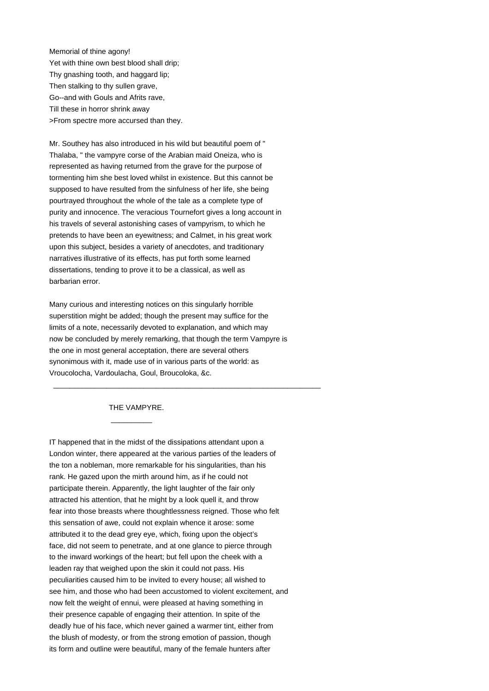Memorial of thine agony! Yet with thine own best blood shall drip; Thy gnashing tooth, and haggard lip; Then stalking to thy sullen grave, Go--and with Gouls and Afrits rave, Till these in horror shrink away >From spectre more accursed than they.

Mr. Southey has also introduced in his wild but beautiful poem of " Thalaba, " the vampyre corse of the Arabian maid Oneiza, who is represented as having returned from the grave for the purpose of tormenting him she best loved whilst in existence. But this cannot be supposed to have resulted from the sinfulness of her life, she being pourtrayed throughout the whole of the tale as a complete type of purity and innocence. The veracious Tournefort gives a long account in his travels of several astonishing cases of vampyrism, to which he pretends to have been an eyewitness; and Calmet, in his great work upon this subject, besides a variety of anecdotes, and traditionary narratives illustrative of its effects, has put forth some learned dissertations, tending to prove it to be a classical, as well as barbarian error.

Many curious and interesting notices on this singularly horrible superstition might be added; though the present may suffice for the limits of a note, necessarily devoted to explanation, and which may now be concluded by merely remarking, that though the term Vampyre is the one in most general acceptation, there are several others synonimous with it, made use of in various parts of the world: as Vroucolocha, Vardoulacha, Goul, Broucoloka, &c.

\_\_\_\_\_\_\_\_\_\_\_\_\_\_\_\_\_\_\_\_\_\_\_\_\_\_\_\_\_\_\_\_\_\_\_\_\_\_\_\_\_\_\_\_\_\_\_\_\_\_\_\_\_\_\_\_\_\_\_\_\_\_\_\_\_

THE VAMPYRE.

 $\frac{1}{2}$  ,  $\frac{1}{2}$  ,  $\frac{1}{2}$  ,  $\frac{1}{2}$  ,  $\frac{1}{2}$  ,  $\frac{1}{2}$  ,  $\frac{1}{2}$  ,  $\frac{1}{2}$  ,  $\frac{1}{2}$  ,  $\frac{1}{2}$  ,  $\frac{1}{2}$  ,  $\frac{1}{2}$  ,  $\frac{1}{2}$  ,  $\frac{1}{2}$  ,  $\frac{1}{2}$  ,  $\frac{1}{2}$  ,  $\frac{1}{2}$  ,  $\frac{1}{2}$  ,  $\frac{1$ 

IT happened that in the midst of the dissipations attendant upon a London winter, there appeared at the various parties of the leaders of the ton a nobleman, more remarkable for his singularities, than his rank. He gazed upon the mirth around him, as if he could not participate therein. Apparently, the light laughter of the fair only attracted his attention, that he might by a look quell it, and throw fear into those breasts where thoughtlessness reigned. Those who felt this sensation of awe, could not explain whence it arose: some attributed it to the dead grey eye, which, fixing upon the object's face, did not seem to penetrate, and at one glance to pierce through to the inward workings of the heart; but fell upon the cheek with a leaden ray that weighed upon the skin it could not pass. His peculiarities caused him to be invited to every house; all wished to see him, and those who had been accustomed to violent excitement, and now felt the weight of ennui, were pleased at having something in their presence capable of engaging their attention. In spite of the deadly hue of his face, which never gained a warmer tint, either from the blush of modesty, or from the strong emotion of passion, though its form and outline were beautiful, many of the female hunters after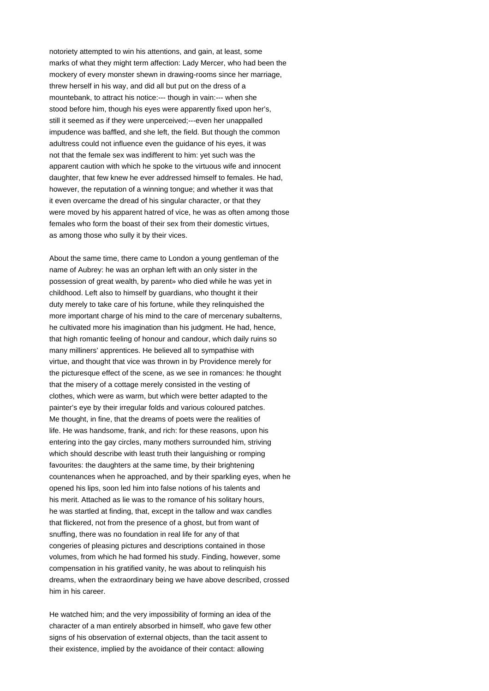notoriety attempted to win his attentions, and gain, at least, some marks of what they might term affection: Lady Mercer, who had been the mockery of every monster shewn in drawing-rooms since her marriage, threw herself in his way, and did all but put on the dress of a mountebank, to attract his notice:--- though in vain:--- when she stood before him, though his eyes were apparently fixed upon her's, still it seemed as if they were unperceived;---even her unappalled impudence was baffled, and she left, the field. But though the common adultress could not influence even the guidance of his eyes, it was not that the female sex was indifferent to him: yet such was the apparent caution with which he spoke to the virtuous wife and innocent daughter, that few knew he ever addressed himself to females. He had, however, the reputation of a winning tongue; and whether it was that it even overcame the dread of his singular character, or that they were moved by his apparent hatred of vice, he was as often among those females who form the boast of their sex from their domestic virtues, as among those who sully it by their vices.

About the same time, there came to London a young gentleman of the name of Aubrey: he was an orphan left with an only sister in the possession of great wealth, by parent» who died while he was yet in childhood. Left also to himself by guardians, who thought it their duty merely to take care of his fortune, while they relinquished the more important charge of his mind to the care of mercenary subalterns, he cultivated more his imagination than his judgment. He had, hence, that high romantic feeling of honour and candour, which daily ruins so many milliners' apprentices. He believed all to sympathise with virtue, and thought that vice was thrown in by Providence merely for the picturesque effect of the scene, as we see in romances: he thought that the misery of a cottage merely consisted in the vesting of clothes, which were as warm, but which were better adapted to the painter's eye by their irregular folds and various coloured patches. Me thought, in fine, that the dreams of poets were the realities of life. He was handsome, frank, and rich: for these reasons, upon his entering into the gay circles, many mothers surrounded him, striving which should describe with least truth their languishing or romping favourites: the daughters at the same time, by their brightening countenances when he approached, and by their sparkling eyes, when he opened his lips, soon led him into false notions of his talents and his merit. Attached as lie was to the romance of his solitary hours, he was startled at finding, that, except in the tallow and wax candles that flickered, not from the presence of a ghost, but from want of snuffing, there was no foundation in real life for any of that congeries of pleasing pictures and descriptions contained in those volumes, from which he had formed his study. Finding, however, some compensation in his gratified vanity, he was about to relinquish his dreams, when the extraordinary being we have above described, crossed him in his career.

He watched him; and the very impossibility of forming an idea of the character of a man entirely absorbed in himself, who gave few other signs of his observation of external objects, than the tacit assent to their existence, implied by the avoidance of their contact: allowing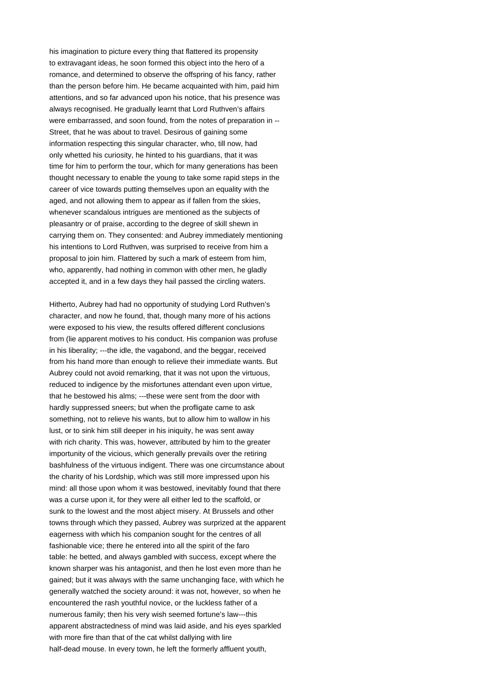his imagination to picture every thing that flattered its propensity to extravagant ideas, he soon formed this object into the hero of a romance, and determined to observe the offspring of his fancy, rather than the person before him. He became acquainted with him, paid him attentions, and so far advanced upon his notice, that his presence was always recognised. He gradually learnt that Lord Ruthven's affairs were embarrassed, and soon found, from the notes of preparation in -- Street, that he was about to travel. Desirous of gaining some information respecting this singular character, who, till now, had only whetted his curiosity, he hinted to his guardians, that it was time for him to perform the tour, which for many generations has been thought necessary to enable the young to take some rapid steps in the career of vice towards putting themselves upon an equality with the aged, and not allowing them to appear as if fallen from the skies, whenever scandalous intrigues are mentioned as the subjects of pleasantry or of praise, according to the degree of skill shewn in carrying them on. They consented: and Aubrey immediately mentioning his intentions to Lord Ruthven, was surprised to receive from him a proposal to join him. Flattered by such a mark of esteem from him, who, apparently, had nothing in common with other men, he gladly accepted it, and in a few days they hail passed the circling waters.

Hitherto, Aubrey had had no opportunity of studying Lord Ruthven's character, and now he found, that, though many more of his actions were exposed to his view, the results offered different conclusions from (lie apparent motives to his conduct. His companion was profuse in his liberality; ---the idle, the vagabond, and the beggar, received from his hand more than enough to relieve their immediate wants. But Aubrey could not avoid remarking, that it was not upon the virtuous, reduced to indigence by the misfortunes attendant even upon virtue, that he bestowed his alms; ---these were sent from the door with hardly suppressed sneers; but when the profligate came to ask something, not to relieve his wants, but to allow him to wallow in his lust, or to sink him still deeper in his iniquity, he was sent away with rich charity. This was, however, attributed by him to the greater importunity of the vicious, which generally prevails over the retiring bashfulness of the virtuous indigent. There was one circumstance about the charity of his Lordship, which was still more impressed upon his mind: all those upon whom it was bestowed, inevitably found that there was a curse upon it, for they were all either led to the scaffold, or sunk to the lowest and the most abject misery. At Brussels and other towns through which they passed, Aubrey was surprized at the apparent eagerness with which his companion sought for the centres of all fashionable vice; there he entered into all the spirit of the faro table: he betted, and always gambled with success, except where the known sharper was his antagonist, and then he lost even more than he gained; but it was always with the same unchanging face, with which he generally watched the society around: it was not, however, so when he encountered the rash youthful novice, or the luckless father of a numerous family; then his very wish seemed fortune's law---this apparent abstractedness of mind was laid aside, and his eyes sparkled with more fire than that of the cat whilst dallying with lire half-dead mouse. In every town, he left the formerly affluent youth,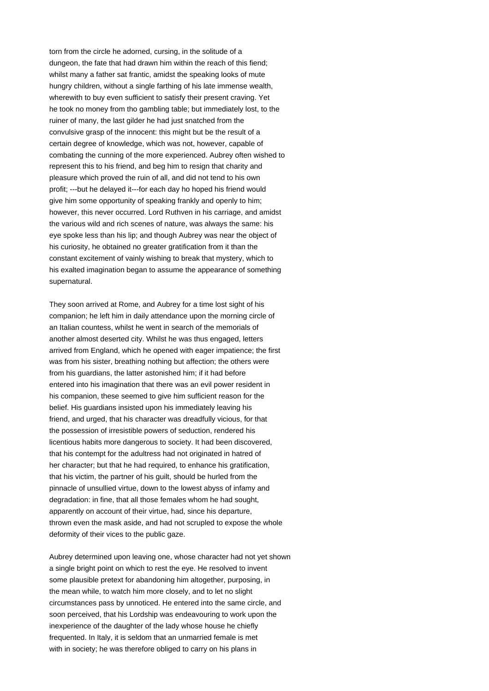torn from the circle he adorned, cursing, in the solitude of a dungeon, the fate that had drawn him within the reach of this fiend; whilst many a father sat frantic, amidst the speaking looks of mute hungry children, without a single farthing of his late immense wealth, wherewith to buy even sufficient to satisfy their present craving. Yet he took no money from tho gambling table; but immediately lost, to the ruiner of many, the last gilder he had just snatched from the convulsive grasp of the innocent: this might but be the result of a certain degree of knowledge, which was not, however, capable of combating the cunning of the more experienced. Aubrey often wished to represent this to his friend, and beg him to resign that charity and pleasure which proved the ruin of all, and did not tend to his own profit; ---but he delayed it---for each day ho hoped his friend would give him some opportunity of speaking frankly and openly to him; however, this never occurred. Lord Ruthven in his carriage, and amidst the various wild and rich scenes of nature, was always the same: his eye spoke less than his lip; and though Aubrey was near the object of his curiosity, he obtained no greater gratification from it than the constant excitement of vainly wishing to break that mystery, which to his exalted imagination began to assume the appearance of something supernatural.

They soon arrived at Rome, and Aubrey for a time lost sight of his companion; he left him in daily attendance upon the morning circle of an Italian countess, whilst he went in search of the memorials of another almost deserted city. Whilst he was thus engaged, letters arrived from England, which he opened with eager impatience; the first was from his sister, breathing nothing but affection; the others were from his guardians, the latter astonished him; if it had before entered into his imagination that there was an evil power resident in his companion, these seemed to give him sufficient reason for the belief. His guardians insisted upon his immediately leaving his friend, and urged, that his character was dreadfully vicious, for that the possession of irresistible powers of seduction, rendered his licentious habits more dangerous to society. It had been discovered, that his contempt for the adultress had not originated in hatred of her character; but that he had required, to enhance his gratification, that his victim, the partner of his guilt, should be hurled from the pinnacle of unsullied virtue, down to the lowest abyss of infamy and degradation: in fine, that all those females whom he had sought, apparently on account of their virtue, had, since his departure, thrown even the mask aside, and had not scrupled to expose the whole deformity of their vices to the public gaze.

Aubrey determined upon leaving one, whose character had not yet shown a single bright point on which to rest the eye. He resolved to invent some plausible pretext for abandoning him altogether, purposing, in the mean while, to watch him more closely, and to let no slight circumstances pass by unnoticed. He entered into the same circle, and soon perceived, that his Lordship was endeavouring to work upon the inexperience of the daughter of the lady whose house he chiefly frequented. In Italy, it is seldom that an unmarried female is met with in society; he was therefore obliged to carry on his plans in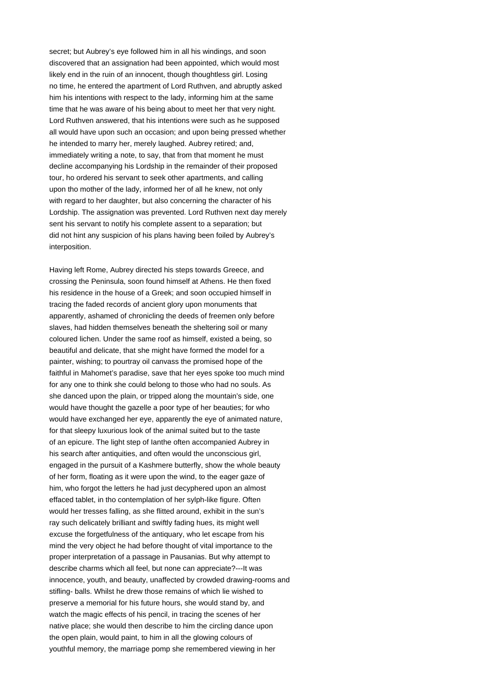secret; but Aubrey's eye followed him in all his windings, and soon discovered that an assignation had been appointed, which would most likely end in the ruin of an innocent, though thoughtless girl. Losing no time, he entered the apartment of Lord Ruthven, and abruptly asked him his intentions with respect to the lady, informing him at the same time that he was aware of his being about to meet her that very night. Lord Ruthven answered, that his intentions were such as he supposed all would have upon such an occasion; and upon being pressed whether he intended to marry her, merely laughed. Aubrey retired; and, immediately writing a note, to say, that from that moment he must decline accompanying his Lordship in the remainder of their proposed tour, ho ordered his servant to seek other apartments, and calling upon tho mother of the lady, informed her of all he knew, not only with regard to her daughter, but also concerning the character of his Lordship. The assignation was prevented. Lord Ruthven next day merely sent his servant to notify his complete assent to a separation; but did not hint any suspicion of his plans having been foiled by Aubrey's interposition.

Having left Rome, Aubrey directed his steps towards Greece, and crossing the Peninsula, soon found himself at Athens. He then fixed his residence in the house of a Greek; and soon occupied himself in tracing the faded records of ancient glory upon monuments that apparently, ashamed of chronicling the deeds of freemen only before slaves, had hidden themselves beneath the sheltering soil or many coloured lichen. Under the same roof as himself, existed a being, so beautiful and delicate, that she might have formed the model for a painter, wishing; to pourtray oil canvass the promised hope of the faithful in Mahomet's paradise, save that her eyes spoke too much mind for any one to think she could belong to those who had no souls. As she danced upon the plain, or tripped along the mountain's side, one would have thought the gazelle a poor type of her beauties; for who would have exchanged her eye, apparently the eye of animated nature, for that sleepy luxurious look of the animal suited but to the taste of an epicure. The light step of Ianthe often accompanied Aubrey in his search after antiquities, and often would the unconscious girl, engaged in the pursuit of a Kashmere butterfly, show the whole beauty of her form, floating as it were upon the wind, to the eager gaze of him, who forgot the letters he had just decyphered upon an almost effaced tablet, in tho contemplation of her sylph-like figure. Often would her tresses falling, as she flitted around, exhibit in the sun's ray such delicately brilliant and swiftly fading hues, its might well excuse the forgetfulness of the antiquary, who let escape from his mind the very object he had before thought of vital importance to the proper interpretation of a passage in Pausanias. But why attempt to describe charms which all feel, but none can appreciate?---It was innocence, youth, and beauty, unaffected by crowded drawing-rooms and stifling- balls. Whilst he drew those remains of which lie wished to preserve a memorial for his future hours, she would stand by, and watch the magic effects of his pencil, in tracing the scenes of her native place; she would then describe to him the circling dance upon the open plain, would paint, to him in all the glowing colours of youthful memory, the marriage pomp she remembered viewing in her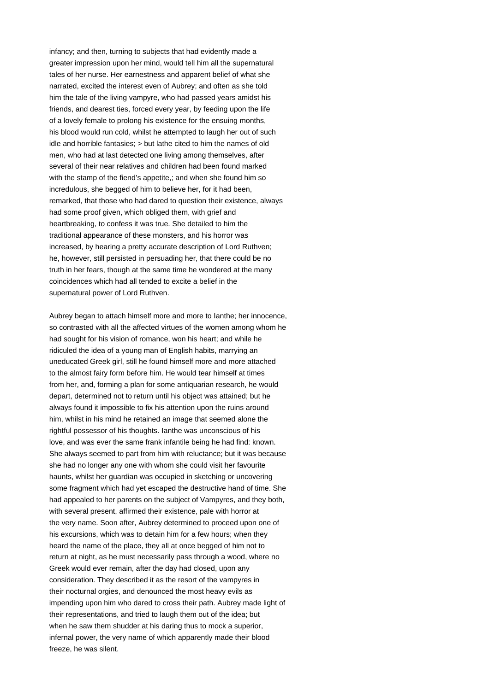infancy; and then, turning to subjects that had evidently made a greater impression upon her mind, would tell him all the supernatural tales of her nurse. Her earnestness and apparent belief of what she narrated, excited the interest even of Aubrey; and often as she told him the tale of the living vampyre, who had passed years amidst his friends, and dearest ties, forced every year, by feeding upon the life of a lovely female to prolong his existence for the ensuing months, his blood would run cold, whilst he attempted to laugh her out of such idle and horrible fantasies; > but lathe cited to him the names of old men, who had at last detected one living among themselves, after several of their near relatives and children had been found marked with the stamp of the fiend's appetite, and when she found him so incredulous, she begged of him to believe her, for it had been, remarked, that those who had dared to question their existence, always had some proof given, which obliged them, with grief and heartbreaking, to confess it was true. She detailed to him the traditional appearance of these monsters, and his horror was increased, by hearing a pretty accurate description of Lord Ruthven; he, however, still persisted in persuading her, that there could be no truth in her fears, though at the same time he wondered at the many coincidences which had all tended to excite a belief in the supernatural power of Lord Ruthven.

Aubrey began to attach himself more and more to Ianthe; her innocence, so contrasted with all the affected virtues of the women among whom he had sought for his vision of romance, won his heart; and while he ridiculed the idea of a young man of English habits, marrying an uneducated Greek girl, still he found himself more and more attached to the almost fairy form before him. He would tear himself at times from her, and, forming a plan for some antiquarian research, he would depart, determined not to return until his object was attained; but he always found it impossible to fix his attention upon the ruins around him, whilst in his mind he retained an image that seemed alone the rightful possessor of his thoughts. Ianthe was unconscious of his love, and was ever the same frank infantile being he had find: known. She always seemed to part from him with reluctance; but it was because she had no longer any one with whom she could visit her favourite haunts, whilst her guardian was occupied in sketching or uncovering some fragment which had yet escaped the destructive hand of time. She had appealed to her parents on the subject of Vampyres, and they both, with several present, affirmed their existence, pale with horror at the very name. Soon after, Aubrey determined to proceed upon one of his excursions, which was to detain him for a few hours; when they heard the name of the place, they all at once begged of him not to return at night, as he must necessarily pass through a wood, where no Greek would ever remain, after the day had closed, upon any consideration. They described it as the resort of the vampyres in their nocturnal orgies, and denounced the most heavy evils as impending upon him who dared to cross their path. Aubrey made light of their representations, and tried to laugh them out of the idea; but when he saw them shudder at his daring thus to mock a superior, infernal power, the very name of which apparently made their blood freeze, he was silent.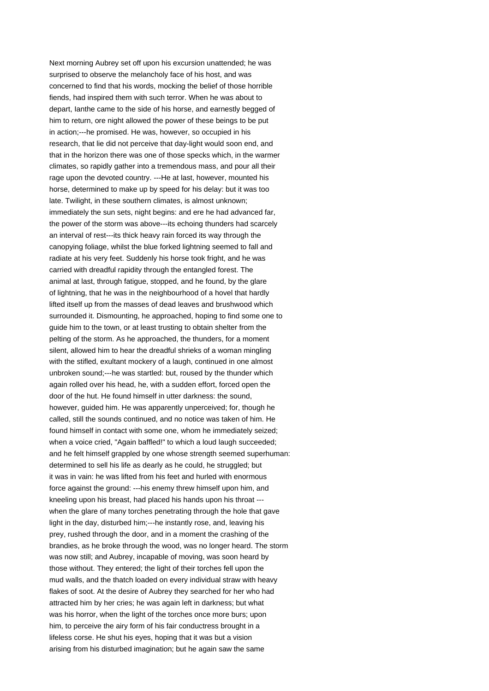Next morning Aubrey set off upon his excursion unattended; he was surprised to observe the melancholy face of his host, and was concerned to find that his words, mocking the belief of those horrible fiends, had inspired them with such terror. When he was about to depart, Ianthe came to the side of his horse, and earnestly begged of him to return, ore night allowed the power of these beings to be put in action;---he promised. He was, however, so occupied in his research, that lie did not perceive that day-light would soon end, and that in the horizon there was one of those specks which, in the warmer climates, so rapidly gather into a tremendous mass, and pour all their rage upon the devoted country. ---He at last, however, mounted his horse, determined to make up by speed for his delay: but it was too late. Twilight, in these southern climates, is almost unknown; immediately the sun sets, night begins: and ere he had advanced far, the power of the storm was above---its echoing thunders had scarcely an interval of rest---its thick heavy rain forced its way through the canopying foliage, whilst the blue forked lightning seemed to fall and radiate at his very feet. Suddenly his horse took fright, and he was carried with dreadful rapidity through the entangled forest. The animal at last, through fatigue, stopped, and he found, by the glare of lightning, that he was in the neighbourhood of a hovel that hardly lifted itself up from the masses of dead leaves and brushwood which surrounded it. Dismounting, he approached, hoping to find some one to guide him to the town, or at least trusting to obtain shelter from the pelting of the storm. As he approached, the thunders, for a moment silent, allowed him to hear the dreadful shrieks of a woman mingling with the stifled, exultant mockery of a laugh, continued in one almost unbroken sound;---he was startled: but, roused by the thunder which again rolled over his head, he, with a sudden effort, forced open the door of the hut. He found himself in utter darkness: the sound, however, guided him. He was apparently unperceived; for, though he called, still the sounds continued, and no notice was taken of him. He found himself in contact with some one, whom he immediately seized; when a voice cried, "Again baffled!" to which a loud laugh succeeded; and he felt himself grappled by one whose strength seemed superhuman: determined to sell his life as dearly as he could, he struggled; but it was in vain: he was lifted from his feet and hurled with enormous force against the ground: ---his enemy threw himself upon him, and kneeling upon his breast, had placed his hands upon his throat -- when the glare of many torches penetrating through the hole that gave light in the day, disturbed him;---he instantly rose, and, leaving his prey, rushed through the door, and in a moment the crashing of the brandies, as he broke through the wood, was no longer heard. The storm was now still; and Aubrey, incapable of moving, was soon heard by those without. They entered; the light of their torches fell upon the mud walls, and the thatch loaded on every individual straw with heavy flakes of soot. At the desire of Aubrey they searched for her who had attracted him by her cries; he was again left in darkness; but what was his horror, when the light of the torches once more burs; upon him, to perceive the airy form of his fair conductress brought in a lifeless corse. He shut his eyes, hoping that it was but a vision arising from his disturbed imagination; but he again saw the same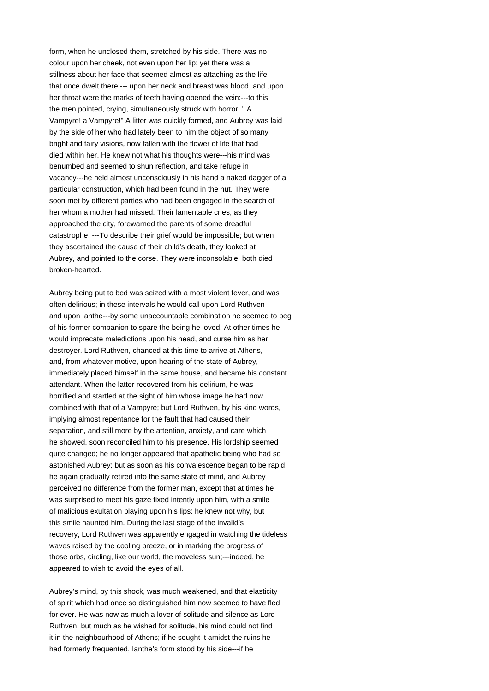form, when he unclosed them, stretched by his side. There was no colour upon her cheek, not even upon her lip; yet there was a stillness about her face that seemed almost as attaching as the life that once dwelt there:--- upon her neck and breast was blood, and upon her throat were the marks of teeth having opened the vein:---to this the men pointed, crying, simultaneously struck with horror, " A Vampyre! a Vampyre!" A litter was quickly formed, and Aubrey was laid by the side of her who had lately been to him the object of so many bright and fairy visions, now fallen with the flower of life that had died within her. He knew not what his thoughts were---his mind was benumbed and seemed to shun reflection, and take refuge in vacancy---he held almost unconsciously in his hand a naked dagger of a particular construction, which had been found in the hut. They were soon met by different parties who had been engaged in the search of her whom a mother had missed. Their lamentable cries, as they approached the city, forewarned the parents of some dreadful catastrophe. ---To describe their grief would be impossible; but when they ascertained the cause of their child's death, they looked at Aubrey, and pointed to the corse. They were inconsolable; both died broken-hearted.

Aubrey being put to bed was seized with a most violent fever, and was often delirious; in these intervals he would call upon Lord Ruthven and upon Ianthe---by some unaccountable combination he seemed to beg of his former companion to spare the being he loved. At other times he would imprecate maledictions upon his head, and curse him as her destroyer. Lord Ruthven, chanced at this time to arrive at Athens, and, from whatever motive, upon hearing of the state of Aubrey, immediately placed himself in the same house, and became his constant attendant. When the latter recovered from his delirium, he was horrified and startled at the sight of him whose image he had now combined with that of a Vampyre; but Lord Ruthven, by his kind words, implying almost repentance for the fault that had caused their separation, and still more by the attention, anxiety, and care which he showed, soon reconciled him to his presence. His lordship seemed quite changed; he no longer appeared that apathetic being who had so astonished Aubrey; but as soon as his convalescence began to be rapid, he again gradually retired into the same state of mind, and Aubrey perceived no difference from the former man, except that at times he was surprised to meet his gaze fixed intently upon him, with a smile of malicious exultation playing upon his lips: he knew not why, but this smile haunted him. During the last stage of the invalid's recovery, Lord Ruthven was apparently engaged in watching the tideless waves raised by the cooling breeze, or in marking the progress of those orbs, circling, like our world, the moveless sun;---indeed, he appeared to wish to avoid the eyes of all.

Aubrey's mind, by this shock, was much weakened, and that elasticity of spirit which had once so distinguished him now seemed to have fled for ever. He was now as much a lover of solitude and silence as Lord Ruthven; but much as he wished for solitude, his mind could not find it in the neighbourhood of Athens; if he sought it amidst the ruins he had formerly frequented, Ianthe's form stood by his side---if he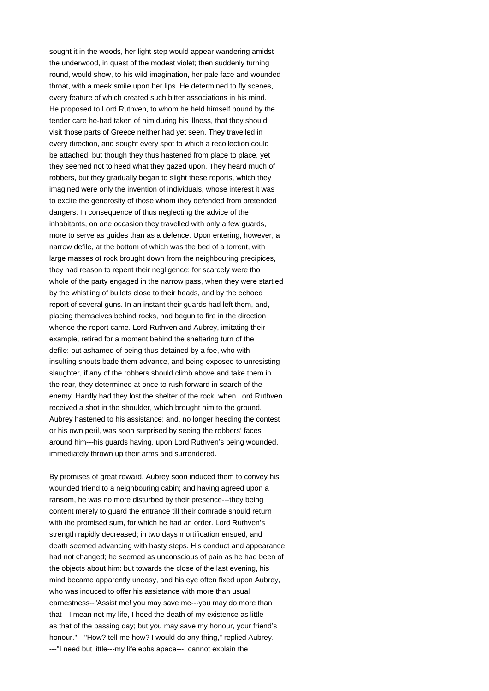sought it in the woods, her light step would appear wandering amidst the underwood, in quest of the modest violet; then suddenly turning round, would show, to his wild imagination, her pale face and wounded throat, with a meek smile upon her lips. He determined to fly scenes, every feature of which created such bitter associations in his mind. He proposed to Lord Ruthven, to whom he held himself bound by the tender care he-had taken of him during his illness, that they should visit those parts of Greece neither had yet seen. They travelled in every direction, and sought every spot to which a recollection could be attached: but though they thus hastened from place to place, yet they seemed not to heed what they gazed upon. They heard much of robbers, but they gradually began to slight these reports, which they imagined were only the invention of individuals, whose interest it was to excite the generosity of those whom they defended from pretended dangers. In consequence of thus neglecting the advice of the inhabitants, on one occasion they travelled with only a few guards, more to serve as guides than as a defence. Upon entering, however, a narrow defile, at the bottom of which was the bed of a torrent, with large masses of rock brought down from the neighbouring precipices, they had reason to repent their negligence; for scarcely were tho whole of the party engaged in the narrow pass, when they were startled by the whistling of bullets close to their heads, and by the echoed report of several guns. In an instant their guards had left them, and, placing themselves behind rocks, had begun to fire in the direction whence the report came. Lord Ruthven and Aubrey, imitating their example, retired for a moment behind the sheltering turn of the defile: but ashamed of being thus detained by a foe, who with insulting shouts bade them advance, and being exposed to unresisting slaughter, if any of the robbers should climb above and take them in the rear, they determined at once to rush forward in search of the enemy. Hardly had they lost the shelter of the rock, when Lord Ruthven received a shot in the shoulder, which brought him to the ground. Aubrey hastened to his assistance; and, no longer heeding the contest or his own peril, was soon surprised by seeing the robbers' faces around him---his guards having, upon Lord Ruthven's being wounded, immediately thrown up their arms and surrendered.

By promises of great reward, Aubrey soon induced them to convey his wounded friend to a neighbouring cabin; and having agreed upon a ransom, he was no more disturbed by their presence---they being content merely to guard the entrance till their comrade should return with the promised sum, for which he had an order. Lord Ruthven's strength rapidly decreased; in two days mortification ensued, and death seemed advancing with hasty steps. His conduct and appearance had not changed; he seemed as unconscious of pain as he had been of the objects about him: but towards the close of the last evening, his mind became apparently uneasy, and his eye often fixed upon Aubrey, who was induced to offer his assistance with more than usual earnestness--"Assist me! you may save me---you may do more than that---I mean not my life, I heed the death of my existence as little as that of the passing day; but you may save my honour, your friend's honour."---"How? tell me how? I would do any thing," replied Aubrey. ---"I need but little---my life ebbs apace---I cannot explain the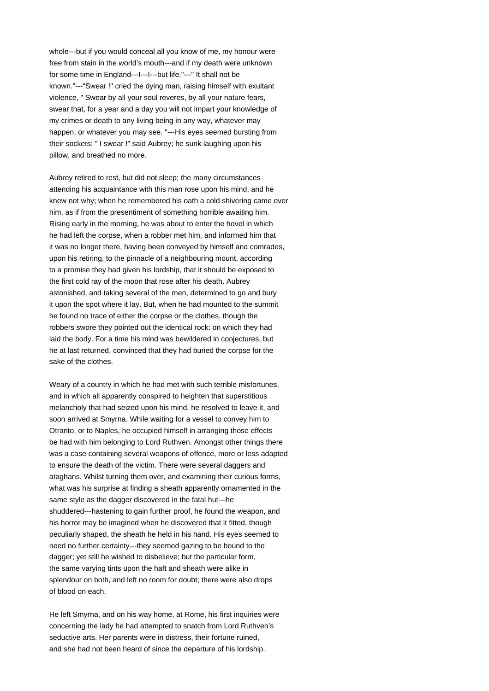whole---but if you would conceal all you know of me, my honour were free from stain in the world's mouth---and if my death were unknown for some time in England---I---I---but life."---" It shall not be known."---"Swear !" cried the dying man, raising himself with exultant violence, " Swear by all your soul reveres, by all your nature fears, swear that, for a year and a day you will not impart your knowledge of my crimes or death to any living being in any way, whatever may happen, or whatever you may see. "---His eyes seemed bursting from their sockets: " I swear !" said Aubrey; he sunk laughing upon his pillow, and breathed no more.

Aubrey retired to rest, but did not sleep; the many circumstances attending his acquaintance with this man rose upon his mind, and he knew not why; when he remembered his oath a cold shivering came over him, as if from the presentiment of something horrible awaiting him. Rising early in the morning, he was about to enter the hovel in which he had left the corpse, when a robber met him, and informed him that it was no longer there, having been conveyed by himself and comrades, upon his retiring, to the pinnacle of a neighbouring mount, according to a promise they had given his lordship, that it should be exposed to the first cold ray of the moon that rose after his death. Aubrey astonished, and taking several of the men, determined to go and bury it upon the spot where it lay. But, when he had mounted to the summit he found no trace of either the corpse or the clothes, though the robbers swore they pointed out the identical rock: on which they had laid the body. For a time his mind was bewildered in conjectures, but he at last returned, convinced that they had buried the corpse for the sake of the clothes.

Weary of a country in which he had met with such terrible misfortunes, and in which all apparently conspired to heighten that superstitious melancholy that had seized upon his mind, he resolved to leave it, and soon arrived at Smyrna. While waiting for a vessel to convey him to Otranto, or to Naples, he occupied himself in arranging those effects be had with him belonging to Lord Ruthven. Amongst other things there was a case containing several weapons of offence, more or less adapted to ensure the death of the victim. There were several daggers and ataghans. Whilst turning them over, and examining their curious forms, what was his surprise at finding a sheath apparently ornamented in the same style as the dagger discovered in the fatal hut---he shuddered---hastening to gain further proof, he found the weapon, and his horror may be imagined when he discovered that it fitted, though peculiarly shaped, the sheath he held in his hand. His eyes seemed to need no further certainty---they seemed gazing to be bound to the dagger; yet still he wished to disbelieve; but the particular form, the same varying tints upon the haft and sheath were alike in splendour on both, and left no room for doubt; there were also drops of blood on each.

He left Smyrna, and on his way home, at Rome, his first inquiries were concerning the lady he had attempted to snatch from Lord Ruthven's seductive arts. Her parents were in distress, their fortune ruined, and she had not been heard of since the departure of his lordship.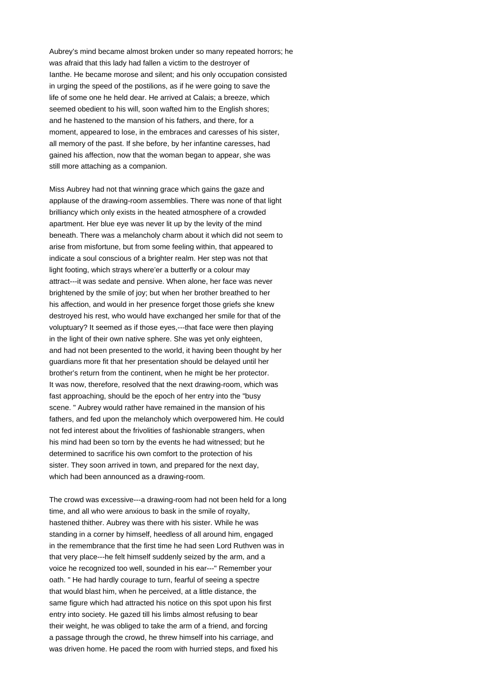Aubrey's mind became almost broken under so many repeated horrors; he was afraid that this lady had fallen a victim to the destroyer of Ianthe. He became morose and silent; and his only occupation consisted in urging the speed of the postilions, as if he were going to save the life of some one he held dear. He arrived at Calais; a breeze, which seemed obedient to his will, soon wafted him to the English shores; and he hastened to the mansion of his fathers, and there, for a moment, appeared to lose, in the embraces and caresses of his sister, all memory of the past. If she before, by her infantine caresses, had gained his affection, now that the woman began to appear, she was still more attaching as a companion.

Miss Aubrey had not that winning grace which gains the gaze and applause of the drawing-room assemblies. There was none of that light brilliancy which only exists in the heated atmosphere of a crowded apartment. Her blue eye was never lit up by the levity of the mind beneath. There was a melancholy charm about it which did not seem to arise from misfortune, but from some feeling within, that appeared to indicate a soul conscious of a brighter realm. Her step was not that light footing, which strays where'er a butterfly or a colour may attract---it was sedate and pensive. When alone, her face was never brightened by the smile of joy; but when her brother breathed to her his affection, and would in her presence forget those griefs she knew destroyed his rest, who would have exchanged her smile for that of the voluptuary? It seemed as if those eyes,---that face were then playing in the light of their own native sphere. She was yet only eighteen, and had not been presented to the world, it having been thought by her guardians more fit that her presentation should be delayed until her brother's return from the continent, when he might be her protector. It was now, therefore, resolved that the next drawing-room, which was fast approaching, should be the epoch of her entry into the "busy scene. " Aubrey would rather have remained in the mansion of his fathers, and fed upon the melancholy which overpowered him. He could not fed interest about the frivolities of fashionable strangers, when his mind had been so torn by the events he had witnessed; but he determined to sacrifice his own comfort to the protection of his sister. They soon arrived in town, and prepared for the next day, which had been announced as a drawing-room.

The crowd was excessive---a drawing-room had not been held for a long time, and all who were anxious to bask in the smile of royalty, hastened thither. Aubrey was there with his sister. While he was standing in a corner by himself, heedless of all around him, engaged in the remembrance that the first time he had seen Lord Ruthven was in that very place---he felt himself suddenly seized by the arm, and a voice he recognized too well, sounded in his ear---" Remember your oath. " He had hardly courage to turn, fearful of seeing a spectre that would blast him, when he perceived, at a little distance, the same figure which had attracted his notice on this spot upon his first entry into society. He gazed till his limbs almost refusing to bear their weight, he was obliged to take the arm of a friend, and forcing a passage through the crowd, he threw himself into his carriage, and was driven home. He paced the room with hurried steps, and fixed his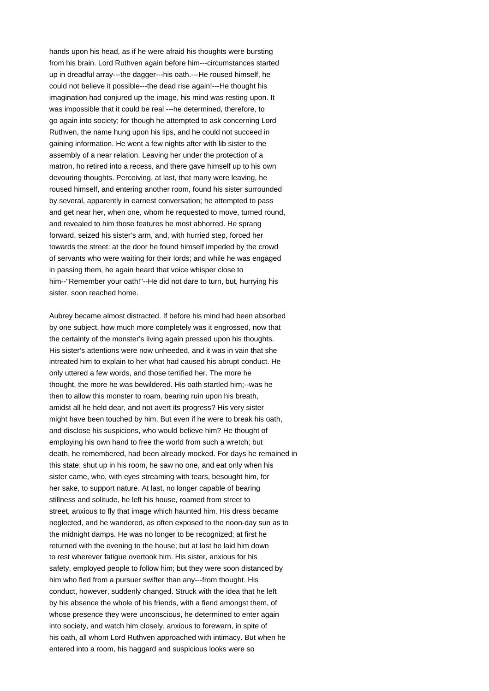hands upon his head, as if he were afraid his thoughts were bursting from his brain. Lord Ruthven again before him---circumstances started up in dreadful array---the dagger---his oath.---He roused himself, he could not believe it possible---the dead rise again!---He thought his imagination had conjured up the image, his mind was resting upon. It was impossible that it could be real ---he determined, therefore, to go again into society; for though he attempted to ask concerning Lord Ruthven, the name hung upon his lips, and he could not succeed in gaining information. He went a few nights after with lib sister to the assembly of a near relation. Leaving her under the protection of a matron, ho retired into a recess, and there gave himself up to his own devouring thoughts. Perceiving, at last, that many were leaving, he roused himself, and entering another room, found his sister surrounded by several, apparently in earnest conversation; he attempted to pass and get near her, when one, whom he requested to move, turned round, and revealed to him those features he most abhorred. He sprang forward, seized his sister's arm, and, with hurried step, forced her towards the street: at the door he found himself impeded by the crowd of servants who were waiting for their lords; and while he was engaged in passing them, he again heard that voice whisper close to him--"Remember your oath!"--He did not dare to turn, but, hurrying his sister, soon reached home.

Aubrey became almost distracted. If before his mind had been absorbed by one subject, how much more completely was it engrossed, now that the certainty of the monster's living again pressed upon his thoughts. His sister's attentions were now unheeded, and it was in vain that she intreated him to explain to her what had caused his abrupt conduct. He only uttered a few words, and those terrified her. The more he thought, the more he was bewildered. His oath startled him;--was he then to allow this monster to roam, bearing ruin upon his breath, amidst all he held dear, and not avert its progress? His very sister might have been touched by him. But even if he were to break his oath, and disclose his suspicions, who would believe him? He thought of employing his own hand to free the world from such a wretch; but death, he remembered, had been already mocked. For days he remained in this state; shut up in his room, he saw no one, and eat only when his sister came, who, with eyes streaming with tears, besought him, for her sake, to support nature. At last, no longer capable of bearing stillness and solitude, he left his house, roamed from street to street, anxious to fly that image which haunted him. His dress became neglected, and he wandered, as often exposed to the noon-day sun as to the midnight damps. He was no longer to be recognized; at first he returned with the evening to the house; but at last he laid him down to rest wherever fatigue overtook him. His sister, anxious for his safety, employed people to follow him; but they were soon distanced by him who fled from a pursuer swifter than any---from thought. His conduct, however, suddenly changed. Struck with the idea that he left by his absence the whole of his friends, with a fiend amongst them, of whose presence they were unconscious, he determined to enter again into society, and watch him closely, anxious to forewarn, in spite of his oath, all whom Lord Ruthven approached with intimacy. But when he entered into a room, his haggard and suspicious looks were so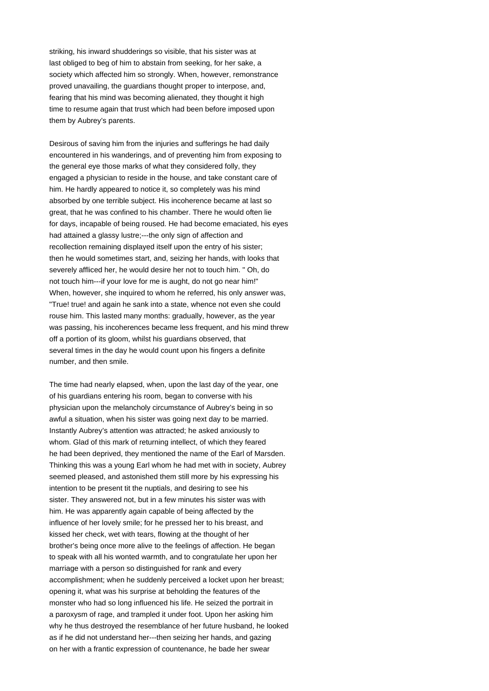striking, his inward shudderings so visible, that his sister was at last obliged to beg of him to abstain from seeking, for her sake, a society which affected him so strongly. When, however, remonstrance proved unavailing, the guardians thought proper to interpose, and, fearing that his mind was becoming alienated, they thought it high time to resume again that trust which had been before imposed upon them by Aubrey's parents.

Desirous of saving him from the injuries and sufferings he had daily encountered in his wanderings, and of preventing him from exposing to the general eye those marks of what they considered folly, they engaged a physician to reside in the house, and take constant care of him. He hardly appeared to notice it, so completely was his mind absorbed by one terrible subject. His incoherence became at last so great, that he was confined to his chamber. There he would often lie for days, incapable of being roused. He had become emaciated, his eyes had attained a glassy lustre;---the only sign of affection and recollection remaining displayed itself upon the entry of his sister; then he would sometimes start, and, seizing her hands, with looks that severely affliced her, he would desire her not to touch him. " Oh, do not touch him---if your love for me is aught, do not go near him!" When, however, she inquired to whom he referred, his only answer was, "True! true! and again he sank into a state, whence not even she could rouse him. This lasted many months: gradually, however, as the year was passing, his incoherences became less frequent, and his mind threw off a portion of its gloom, whilst his guardians observed, that several times in the day he would count upon his fingers a definite number, and then smile.

The time had nearly elapsed, when, upon the last day of the year, one of his guardians entering his room, began to converse with his physician upon the melancholy circumstance of Aubrey's being in so awful a situation, when his sister was going next day to be married. Instantly Aubrey's attention was attracted; he asked anxiously to whom. Glad of this mark of returning intellect, of which they feared he had been deprived, they mentioned the name of the Earl of Marsden. Thinking this was a young Earl whom he had met with in society, Aubrey seemed pleased, and astonished them still more by his expressing his intention to be present tit the nuptials, and desiring to see his sister. They answered not, but in a few minutes his sister was with him. He was apparently again capable of being affected by the influence of her lovely smile; for he pressed her to his breast, and kissed her check, wet with tears, flowing at the thought of her brother's being once more alive to the feelings of affection. He began to speak with all his wonted warmth, and to congratulate her upon her marriage with a person so distinguished for rank and every accomplishment; when he suddenly perceived a locket upon her breast; opening it, what was his surprise at beholding the features of the monster who had so long influenced his life. He seized the portrait in a paroxysm of rage, and trampled it under foot. Upon her asking him why he thus destroyed the resemblance of her future husband, he looked as if he did not understand her---then seizing her hands, and gazing on her with a frantic expression of countenance, he bade her swear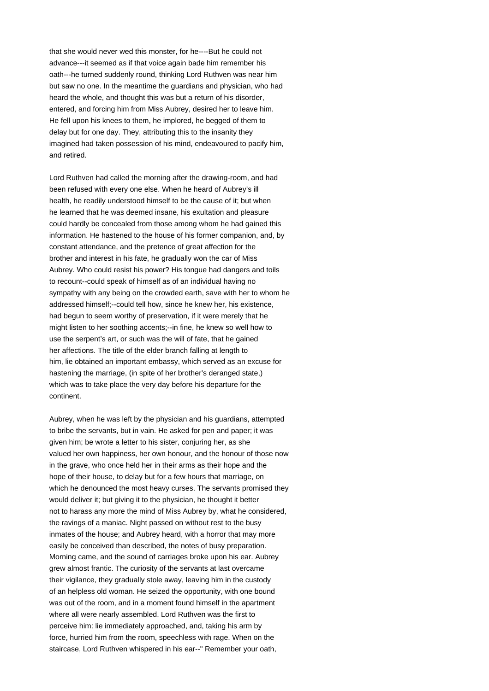that she would never wed this monster, for he----But he could not advance---it seemed as if that voice again bade him remember his oath---he turned suddenly round, thinking Lord Ruthven was near him but saw no one. In the meantime the guardians and physician, who had heard the whole, and thought this was but a return of his disorder, entered, and forcing him from Miss Aubrey, desired her to leave him. He fell upon his knees to them, he implored, he begged of them to delay but for one day. They, attributing this to the insanity they imagined had taken possession of his mind, endeavoured to pacify him, and retired.

Lord Ruthven had called the morning after the drawing-room, and had been refused with every one else. When he heard of Aubrey's ill health, he readily understood himself to be the cause of it; but when he learned that he was deemed insane, his exultation and pleasure could hardly be concealed from those among whom he had gained this information. He hastened to the house of his former companion, and, by constant attendance, and the pretence of great affection for the brother and interest in his fate, he gradually won the car of Miss Aubrey. Who could resist his power? His tongue had dangers and toils to recount--could speak of himself as of an individual having no sympathy with any being on the crowded earth, save with her to whom he addressed himself;--could tell how, since he knew her, his existence, had begun to seem worthy of preservation, if it were merely that he might listen to her soothing accents;--in fine, he knew so well how to use the serpent's art, or such was the will of fate, that he gained her affections. The title of the elder branch falling at length to him, lie obtained an important embassy, which served as an excuse for hastening the marriage, (in spite of her brother's deranged state,) which was to take place the very day before his departure for the continent.

Aubrey, when he was left by the physician and his guardians, attempted to bribe the servants, but in vain. He asked for pen and paper; it was given him; be wrote a letter to his sister, conjuring her, as she valued her own happiness, her own honour, and the honour of those now in the grave, who once held her in their arms as their hope and the hope of their house, to delay but for a few hours that marriage, on which he denounced the most heavy curses. The servants promised they would deliver it; but giving it to the physician, he thought it better not to harass any more the mind of Miss Aubrey by, what he considered, the ravings of a maniac. Night passed on without rest to the busy inmates of the house; and Aubrey heard, with a horror that may more easily be conceived than described, the notes of busy preparation. Morning came, and the sound of carriages broke upon his ear. Aubrey grew almost frantic. The curiosity of the servants at last overcame their vigilance, they gradually stole away, leaving him in the custody of an helpless old woman. He seized the opportunity, with one bound was out of the room, and in a moment found himself in the apartment where all were nearly assembled. Lord Ruthven was the first to perceive him: lie immediately approached, and, taking his arm by force, hurried him from the room, speechless with rage. When on the staircase, Lord Ruthven whispered in his ear--" Remember your oath,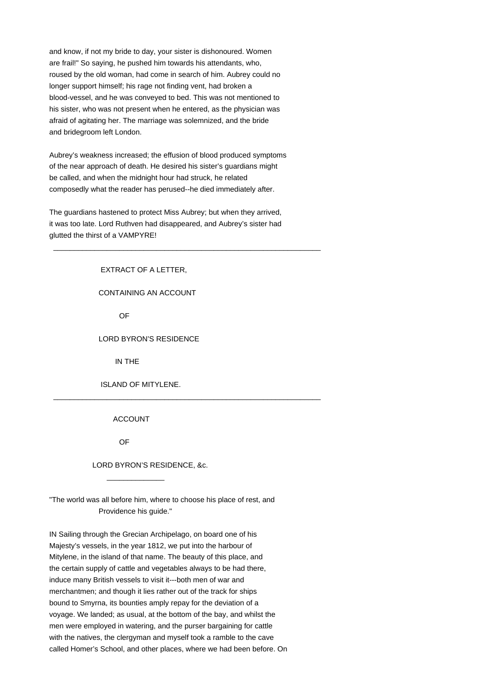and know, if not my bride to day, your sister is dishonoured. Women are frail!" So saying, he pushed him towards his attendants, who, roused by the old woman, had come in search of him. Aubrey could no longer support himself; his rage not finding vent, had broken a blood-vessel, and he was conveyed to bed. This was not mentioned to his sister, who was not present when he entered, as the physician was afraid of agitating her. The marriage was solemnized, and the bride and bridegroom left London.

Aubrey's weakness increased; the effusion of blood produced symptoms of the near approach of death. He desired his sister's guardians might be called, and when the midnight hour had struck, he related composedly what the reader has perused--he died immediately after.

The guardians hastened to protect Miss Aubrey; but when they arrived, it was too late. Lord Ruthven had disappeared, and Aubrey's sister had glutted the thirst of a VAMPYRE!

\_\_\_\_\_\_\_\_\_\_\_\_\_\_\_\_\_\_\_\_\_\_\_\_\_\_\_\_\_\_\_\_\_\_\_\_\_\_\_\_\_\_\_\_\_\_\_\_\_\_\_\_\_\_\_\_\_\_\_\_\_\_\_\_\_

\_\_\_\_\_\_\_\_\_\_\_\_\_\_\_\_\_\_\_\_\_\_\_\_\_\_\_\_\_\_\_\_\_\_\_\_\_\_\_\_\_\_\_\_\_\_\_\_\_\_\_\_\_\_\_\_\_\_\_\_\_\_\_\_\_

 EXTRACT OF A LETTER, CONTAINING AN ACCOUNT

OF

### LORD BYRON'S RESIDENCE

IN THE

ISLAND OF MITYLENE.

### ACCOUNT

OF

 $\frac{1}{2}$  ,  $\frac{1}{2}$  ,  $\frac{1}{2}$  ,  $\frac{1}{2}$  ,  $\frac{1}{2}$  ,  $\frac{1}{2}$  ,  $\frac{1}{2}$  ,  $\frac{1}{2}$  ,  $\frac{1}{2}$  ,  $\frac{1}{2}$  ,  $\frac{1}{2}$  ,  $\frac{1}{2}$  ,  $\frac{1}{2}$  ,  $\frac{1}{2}$  ,  $\frac{1}{2}$  ,  $\frac{1}{2}$  ,  $\frac{1}{2}$  ,  $\frac{1}{2}$  ,  $\frac{1$ 

LORD BYRON'S RESIDENCE, &c.

"The world was all before him, where to choose his place of rest, and Providence his guide."

IN Sailing through the Grecian Archipelago, on board one of his Majesty's vessels, in the year 1812, we put into the harbour of Mitylene, in the island of that name. The beauty of this place, and the certain supply of cattle and vegetables always to be had there, induce many British vessels to visit it---both men of war and merchantmen; and though it lies rather out of the track for ships bound to Smyrna, its bounties amply repay for the deviation of a voyage. We landed; as usual, at the bottom of the bay, and whilst the men were employed in watering, and the purser bargaining for cattle with the natives, the clergyman and myself took a ramble to the cave called Homer's School, and other places, where we had been before. On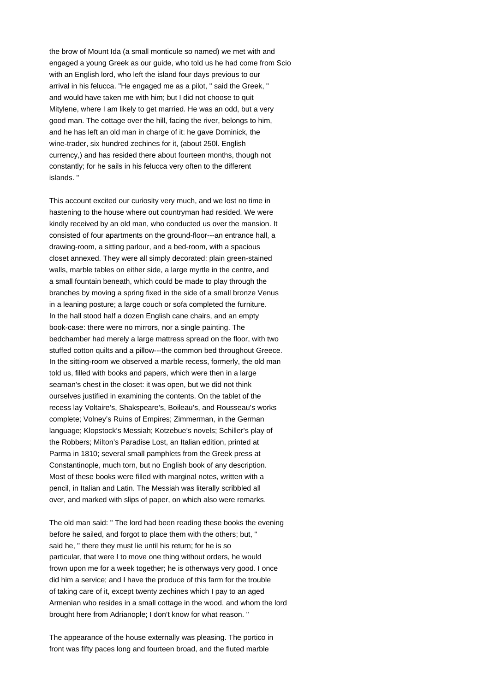the brow of Mount Ida (a small monticule so named) we met with and engaged a young Greek as our guide, who told us he had come from Scio with an English lord, who left the island four days previous to our arrival in his felucca. "He engaged me as a pilot, " said the Greek, " and would have taken me with him; but I did not choose to quit Mitylene, where I am likely to get married. He was an odd, but a very good man. The cottage over the hill, facing the river, belongs to him, and he has left an old man in charge of it: he gave Dominick, the wine-trader, six hundred zechines for it, (about 250l. English currency,) and has resided there about fourteen months, though not constantly; for he sails in his felucca very often to the different islands. "

This account excited our curiosity very much, and we lost no time in hastening to the house where out countryman had resided. We were kindly received by an old man, who conducted us over the mansion. It consisted of four apartments on the ground-floor---an entrance hall, a drawing-room, a sitting parlour, and a bed-room, with a spacious closet annexed. They were all simply decorated: plain green-stained walls, marble tables on either side, a large myrtle in the centre, and a small fountain beneath, which could be made to play through the branches by moving a spring fixed in the side of a small bronze Venus in a leaning posture; a large couch or sofa completed the furniture. In the hall stood half a dozen English cane chairs, and an empty book-case: there were no mirrors, nor a single painting. The bedchamber had merely a large mattress spread on the floor, with two stuffed cotton quilts and a pillow---the common bed throughout Greece. In the sitting-room we observed a marble recess, formerly, the old man told us, filled with books and papers, which were then in a large seaman's chest in the closet: it was open, but we did not think ourselves justified in examining the contents. On the tablet of the recess lay Voltaire's, Shakspeare's, Boileau's, and Rousseau's works complete; Volney's Ruins of Empires; Zimmerman, in the German language; Klopstock's Messiah; Kotzebue's novels; Schiller's play of the Robbers; Milton's Paradise Lost, an Italian edition, printed at Parma in 1810; several small pamphlets from the Greek press at Constantinople, much torn, but no English book of any description. Most of these books were filled with marginal notes, written with a pencil, in Italian and Latin. The Messiah was literally scribbled all over, and marked with slips of paper, on which also were remarks.

The old man said: " The lord had been reading these books the evening before he sailed, and forgot to place them with the others; but, " said he, " there they must lie until his return; for he is so particular, that were I to move one thing without orders, he would frown upon me for a week together; he is otherways very good. I once did him a service; and I have the produce of this farm for the trouble of taking care of it, except twenty zechines which I pay to an aged Armenian who resides in a small cottage in the wood, and whom the lord brought here from Adrianople; I don't know for what reason. "

The appearance of the house externally was pleasing. The portico in front was fifty paces long and fourteen broad, and the fluted marble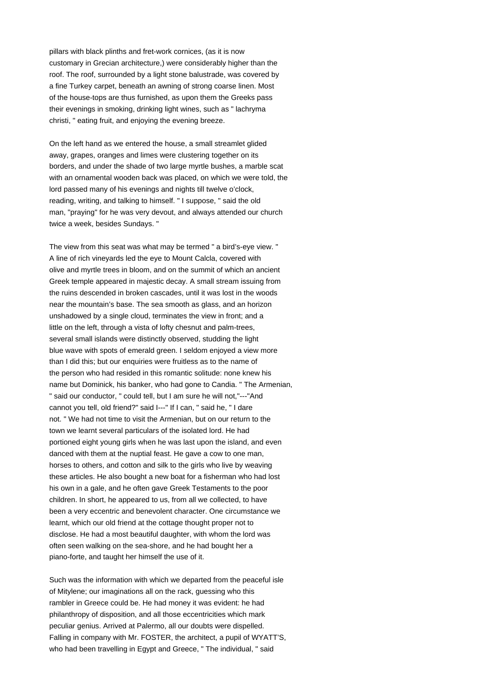pillars with black plinths and fret-work cornices, (as it is now customary in Grecian architecture,) were considerably higher than the roof. The roof, surrounded by a light stone balustrade, was covered by a fine Turkey carpet, beneath an awning of strong coarse linen. Most of the house-tops are thus furnished, as upon them the Greeks pass their evenings in smoking, drinking light wines, such as " lachryma christi, " eating fruit, and enjoying the evening breeze.

On the left hand as we entered the house, a small streamlet glided away, grapes, oranges and limes were clustering together on its borders, and under the shade of two large myrtle bushes, a marble scat with an ornamental wooden back was placed, on which we were told, the lord passed many of his evenings and nights till twelve o'clock, reading, writing, and talking to himself. " I suppose, " said the old man, "praying" for he was very devout, and always attended our church twice a week, besides Sundays. "

The view from this seat was what may be termed " a bird's-eye view. " A line of rich vineyards led the eye to Mount Calcla, covered with olive and myrtle trees in bloom, and on the summit of which an ancient Greek temple appeared in majestic decay. A small stream issuing from the ruins descended in broken cascades, until it was lost in the woods near the mountain's base. The sea smooth as glass, and an horizon unshadowed by a single cloud, terminates the view in front; and a little on the left, through a vista of lofty chesnut and palm-trees, several small islands were distinctly observed, studding the light blue wave with spots of emerald green. I seldom enjoyed a view more than I did this; but our enquiries were fruitless as to the name of the person who had resided in this romantic solitude: none knew his name but Dominick, his banker, who had gone to Candia. " The Armenian, " said our conductor, " could tell, but I am sure he will not,"---"And cannot you tell, old friend?" said I---" If I can, " said he, " I dare not. " We had not time to visit the Armenian, but on our return to the town we learnt several particulars of the isolated lord. He had portioned eight young girls when he was last upon the island, and even danced with them at the nuptial feast. He gave a cow to one man, horses to others, and cotton and silk to the girls who live by weaving these articles. He also bought a new boat for a fisherman who had lost his own in a gale, and he often gave Greek Testaments to the poor children. In short, he appeared to us, from all we collected, to have been a very eccentric and benevolent character. One circumstance we learnt, which our old friend at the cottage thought proper not to disclose. He had a most beautiful daughter, with whom the lord was often seen walking on the sea-shore, and he had bought her a piano-forte, and taught her himself the use of it.

Such was the information with which we departed from the peaceful isle of Mitylene; our imaginations all on the rack, guessing who this rambler in Greece could be. He had money it was evident: he had philanthropy of disposition, and all those eccentricities which mark peculiar genius. Arrived at Palermo, all our doubts were dispelled. Falling in company with Mr. FOSTER, the architect, a pupil of WYATT'S, who had been travelling in Egypt and Greece, " The individual, " said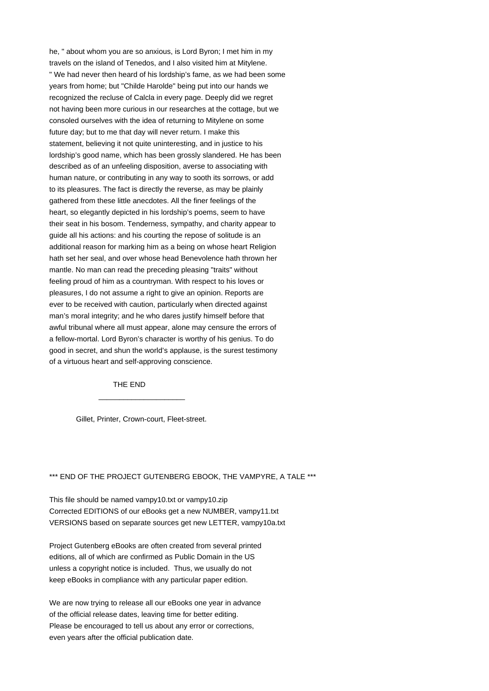he, " about whom you are so anxious, is Lord Byron; I met him in my travels on the island of Tenedos, and I also visited him at Mitylene. " We had never then heard of his lordship's fame, as we had been some years from home; but "Childe Harolde" being put into our hands we recognized the recluse of Calcla in every page. Deeply did we regret not having been more curious in our researches at the cottage, but we consoled ourselves with the idea of returning to Mitylene on some future day; but to me that day will never return. I make this statement, believing it not quite uninteresting, and in justice to his lordship's good name, which has been grossly slandered. He has been described as of an unfeeling disposition, averse to associating with human nature, or contributing in any way to sooth its sorrows, or add to its pleasures. The fact is directly the reverse, as may be plainly gathered from these little anecdotes. All the finer feelings of the heart, so elegantly depicted in his lordship's poems, seem to have their seat in his bosom. Tenderness, sympathy, and charity appear to guide all his actions: and his courting the repose of solitude is an additional reason for marking him as a being on whose heart Religion hath set her seal, and over whose head Benevolence hath thrown her mantle. No man can read the preceding pleasing "traits" without feeling proud of him as a countryman. With respect to his loves or pleasures, I do not assume a right to give an opinion. Reports are ever to be received with caution, particularly when directed against man's moral integrity; and he who dares justify himself before that awful tribunal where all must appear, alone may censure the errors of a fellow-mortal. Lord Byron's character is worthy of his genius. To do good in secret, and shun the world's applause, is the surest testimony of a virtuous heart and self-approving conscience.

THE END

 $\overline{\phantom{a}}$  ,  $\overline{\phantom{a}}$  ,  $\overline{\phantom{a}}$  ,  $\overline{\phantom{a}}$  ,  $\overline{\phantom{a}}$  ,  $\overline{\phantom{a}}$  ,  $\overline{\phantom{a}}$  ,  $\overline{\phantom{a}}$  ,  $\overline{\phantom{a}}$  ,  $\overline{\phantom{a}}$  ,  $\overline{\phantom{a}}$  ,  $\overline{\phantom{a}}$  ,  $\overline{\phantom{a}}$  ,  $\overline{\phantom{a}}$  ,  $\overline{\phantom{a}}$  ,  $\overline{\phantom{a}}$ 

Gillet, Printer, Crown-court, Fleet-street.

### \*\*\* END OF THE PROJECT GUTENBERG EBOOK, THE VAMPYRE, A TALE \*\*\*

This file should be named vampy10.txt or vampy10.zip Corrected EDITIONS of our eBooks get a new NUMBER, vampy11.txt VERSIONS based on separate sources get new LETTER, vampy10a.txt

Project Gutenberg eBooks are often created from several printed editions, all of which are confirmed as Public Domain in the US unless a copyright notice is included. Thus, we usually do not keep eBooks in compliance with any particular paper edition.

We are now trying to release all our eBooks one year in advance of the official release dates, leaving time for better editing. Please be encouraged to tell us about any error or corrections, even years after the official publication date.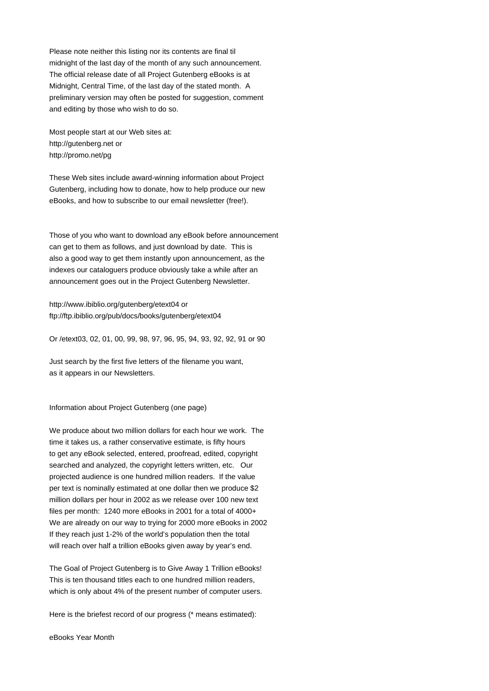Please note neither this listing nor its contents are final til midnight of the last day of the month of any such announcement. The official release date of all Project Gutenberg eBooks is at Midnight, Central Time, of the last day of the stated month. A preliminary version may often be posted for suggestion, comment and editing by those who wish to do so.

Most people start at our Web sites at: http://gutenberg.net or http://promo.net/pg

These Web sites include award-winning information about Project Gutenberg, including how to donate, how to help produce our new eBooks, and how to subscribe to our email newsletter (free!).

Those of you who want to download any eBook before announcement can get to them as follows, and just download by date. This is also a good way to get them instantly upon announcement, as the indexes our cataloguers produce obviously take a while after an announcement goes out in the Project Gutenberg Newsletter.

http://www.ibiblio.org/gutenberg/etext04 or ftp://ftp.ibiblio.org/pub/docs/books/gutenberg/etext04

Or /etext03, 02, 01, 00, 99, 98, 97, 96, 95, 94, 93, 92, 92, 91 or 90

Just search by the first five letters of the filename you want, as it appears in our Newsletters.

Information about Project Gutenberg (one page)

We produce about two million dollars for each hour we work. The time it takes us, a rather conservative estimate, is fifty hours to get any eBook selected, entered, proofread, edited, copyright searched and analyzed, the copyright letters written, etc. Our projected audience is one hundred million readers. If the value per text is nominally estimated at one dollar then we produce \$2 million dollars per hour in 2002 as we release over 100 new text files per month: 1240 more eBooks in 2001 for a total of 4000+ We are already on our way to trying for 2000 more eBooks in 2002 If they reach just 1-2% of the world's population then the total will reach over half a trillion eBooks given away by year's end.

The Goal of Project Gutenberg is to Give Away 1 Trillion eBooks! This is ten thousand titles each to one hundred million readers, which is only about 4% of the present number of computer users.

Here is the briefest record of our progress (\* means estimated):

eBooks Year Month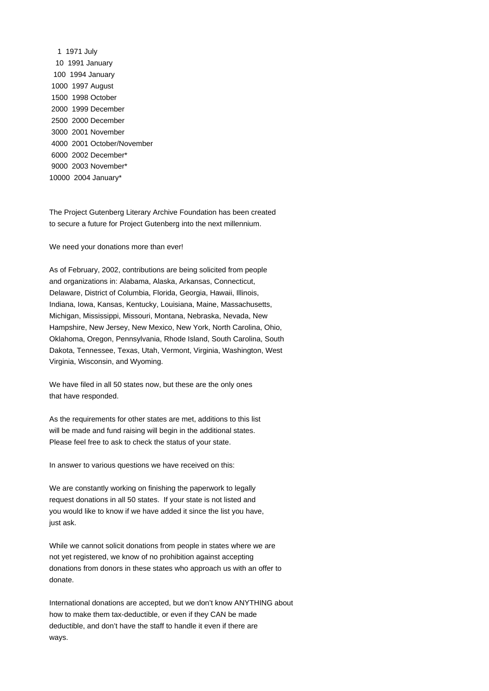The Project Gutenberg Literary Archive Foundation has been created to secure a future for Project Gutenberg into the next millennium.

We need your donations more than ever!

As of February, 2002, contributions are being solicited from people and organizations in: Alabama, Alaska, Arkansas, Connecticut, Delaware, District of Columbia, Florida, Georgia, Hawaii, Illinois, Indiana, Iowa, Kansas, Kentucky, Louisiana, Maine, Massachusetts, Michigan, Mississippi, Missouri, Montana, Nebraska, Nevada, New Hampshire, New Jersey, New Mexico, New York, North Carolina, Ohio, Oklahoma, Oregon, Pennsylvania, Rhode Island, South Carolina, South Dakota, Tennessee, Texas, Utah, Vermont, Virginia, Washington, West Virginia, Wisconsin, and Wyoming.

We have filed in all 50 states now, but these are the only ones that have responded.

As the requirements for other states are met, additions to this list will be made and fund raising will begin in the additional states. Please feel free to ask to check the status of your state.

In answer to various questions we have received on this:

We are constantly working on finishing the paperwork to legally request donations in all 50 states. If your state is not listed and you would like to know if we have added it since the list you have, just ask.

While we cannot solicit donations from people in states where we are not yet registered, we know of no prohibition against accepting donations from donors in these states who approach us with an offer to donate.

International donations are accepted, but we don't know ANYTHING about how to make them tax-deductible, or even if they CAN be made deductible, and don't have the staff to handle it even if there are ways.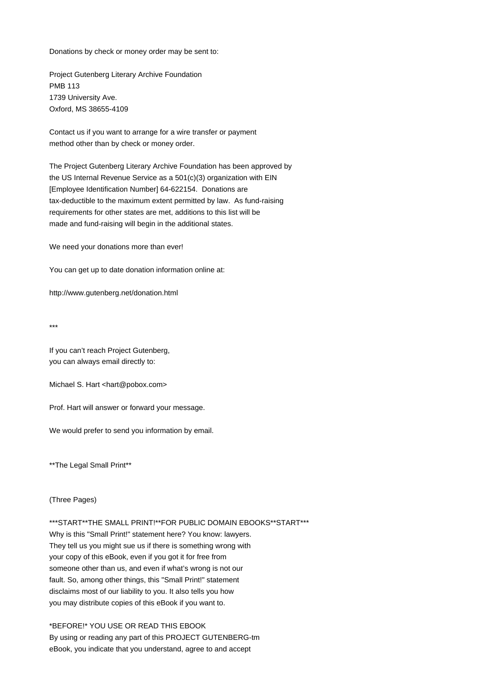Donations by check or money order may be sent to:

Project Gutenberg Literary Archive Foundation PMB 113 1739 University Ave. Oxford, MS 38655-4109

Contact us if you want to arrange for a wire transfer or payment method other than by check or money order.

The Project Gutenberg Literary Archive Foundation has been approved by the US Internal Revenue Service as a 501(c)(3) organization with EIN [Employee Identification Number] 64-622154. Donations are tax-deductible to the maximum extent permitted by law. As fund-raising requirements for other states are met, additions to this list will be made and fund-raising will begin in the additional states.

We need your donations more than ever!

You can get up to date donation information online at:

http://www.gutenberg.net/donation.html

\*\*\*

If you can't reach Project Gutenberg, you can always email directly to:

Michael S. Hart <hart@pobox.com>

Prof. Hart will answer or forward your message.

We would prefer to send you information by email.

\*\*The Legal Small Print\*\*

(Three Pages)

\*\*\*START\*\*THE SMALL PRINT!\*\*FOR PUBLIC DOMAIN EBOOKS\*\*START\*\*\* Why is this "Small Print!" statement here? You know: lawyers. They tell us you might sue us if there is something wrong with your copy of this eBook, even if you got it for free from someone other than us, and even if what's wrong is not our fault. So, among other things, this "Small Print!" statement disclaims most of our liability to you. It also tells you how you may distribute copies of this eBook if you want to.

\*BEFORE!\* YOU USE OR READ THIS EBOOK By using or reading any part of this PROJECT GUTENBERG-tm eBook, you indicate that you understand, agree to and accept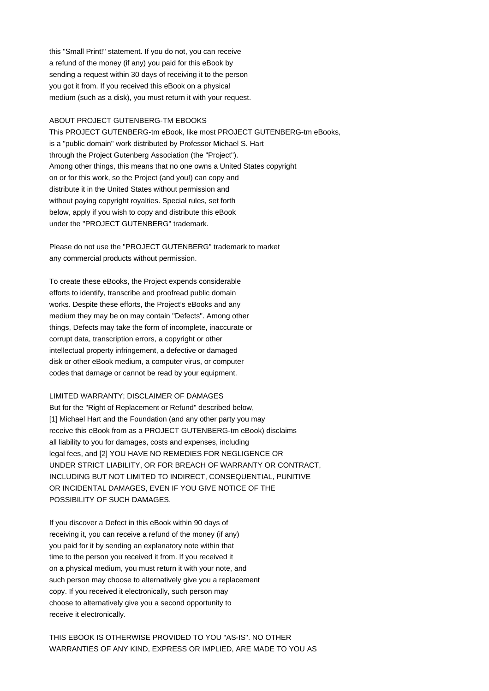this "Small Print!" statement. If you do not, you can receive a refund of the money (if any) you paid for this eBook by sending a request within 30 days of receiving it to the person you got it from. If you received this eBook on a physical medium (such as a disk), you must return it with your request.

# ABOUT PROJECT GUTENBERG-TM EBOOKS

This PROJECT GUTENBERG-tm eBook, like most PROJECT GUTENBERG-tm eBooks, is a "public domain" work distributed by Professor Michael S. Hart through the Project Gutenberg Association (the "Project"). Among other things, this means that no one owns a United States copyright on or for this work, so the Project (and you!) can copy and distribute it in the United States without permission and without paying copyright royalties. Special rules, set forth below, apply if you wish to copy and distribute this eBook under the "PROJECT GUTENBERG" trademark.

Please do not use the "PROJECT GUTENBERG" trademark to market any commercial products without permission.

To create these eBooks, the Project expends considerable efforts to identify, transcribe and proofread public domain works. Despite these efforts, the Project's eBooks and any medium they may be on may contain "Defects". Among other things, Defects may take the form of incomplete, inaccurate or corrupt data, transcription errors, a copyright or other intellectual property infringement, a defective or damaged disk or other eBook medium, a computer virus, or computer codes that damage or cannot be read by your equipment.

### LIMITED WARRANTY; DISCLAIMER OF DAMAGES

But for the "Right of Replacement or Refund" described below, [1] Michael Hart and the Foundation (and any other party you may receive this eBook from as a PROJECT GUTENBERG-tm eBook) disclaims all liability to you for damages, costs and expenses, including legal fees, and [2] YOU HAVE NO REMEDIES FOR NEGLIGENCE OR UNDER STRICT LIABILITY, OR FOR BREACH OF WARRANTY OR CONTRACT, INCLUDING BUT NOT LIMITED TO INDIRECT, CONSEQUENTIAL, PUNITIVE OR INCIDENTAL DAMAGES, EVEN IF YOU GIVE NOTICE OF THE POSSIBILITY OF SUCH DAMAGES.

If you discover a Defect in this eBook within 90 days of receiving it, you can receive a refund of the money (if any) you paid for it by sending an explanatory note within that time to the person you received it from. If you received it on a physical medium, you must return it with your note, and such person may choose to alternatively give you a replacement copy. If you received it electronically, such person may choose to alternatively give you a second opportunity to receive it electronically.

THIS EBOOK IS OTHERWISE PROVIDED TO YOU "AS-IS". NO OTHER WARRANTIES OF ANY KIND, EXPRESS OR IMPLIED, ARE MADE TO YOU AS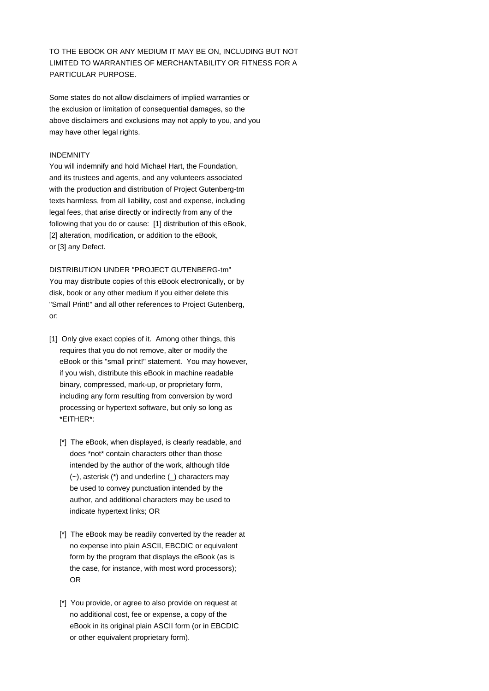TO THE EBOOK OR ANY MEDIUM IT MAY BE ON, INCLUDING BUT NOT LIMITED TO WARRANTIES OF MERCHANTABILITY OR FITNESS FOR A PARTICULAR PURPOSE.

Some states do not allow disclaimers of implied warranties or the exclusion or limitation of consequential damages, so the above disclaimers and exclusions may not apply to you, and you may have other legal rights.

# INDEMNITY

You will indemnify and hold Michael Hart, the Foundation, and its trustees and agents, and any volunteers associated with the production and distribution of Project Gutenberg-tm texts harmless, from all liability, cost and expense, including legal fees, that arise directly or indirectly from any of the following that you do or cause: [1] distribution of this eBook, [2] alteration, modification, or addition to the eBook, or [3] any Defect.

DISTRIBUTION UNDER "PROJECT GUTENBERG-tm" You may distribute copies of this eBook electronically, or by disk, book or any other medium if you either delete this "Small Print!" and all other references to Project Gutenberg, or:

- [1] Only give exact copies of it. Among other things, this requires that you do not remove, alter or modify the eBook or this "small print!" statement. You may however, if you wish, distribute this eBook in machine readable binary, compressed, mark-up, or proprietary form, including any form resulting from conversion by word processing or hypertext software, but only so long as \*EITHER\*:
	- [\*] The eBook, when displayed, is clearly readable, and does \*not\* contain characters other than those intended by the author of the work, although tilde (~), asterisk (\*) and underline (\_) characters may be used to convey punctuation intended by the author, and additional characters may be used to indicate hypertext links; OR
	- [\*] The eBook may be readily converted by the reader at no expense into plain ASCII, EBCDIC or equivalent form by the program that displays the eBook (as is the case, for instance, with most word processors); OR
	- [\*] You provide, or agree to also provide on request at no additional cost, fee or expense, a copy of the eBook in its original plain ASCII form (or in EBCDIC or other equivalent proprietary form).